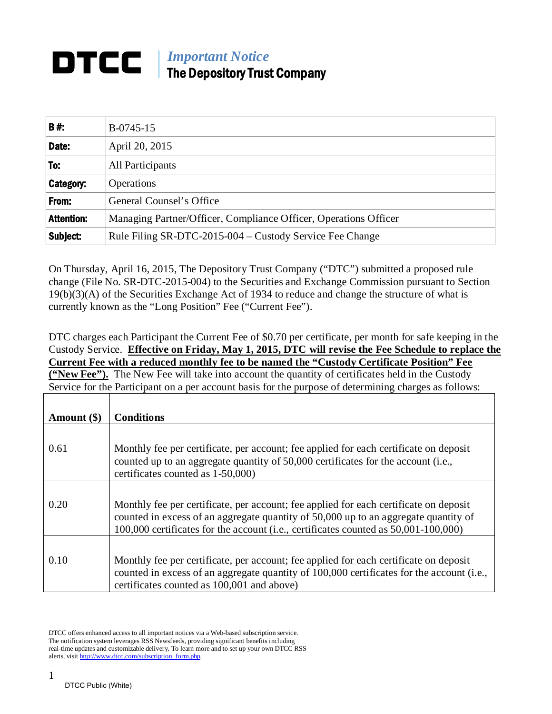## *Important Notice* DTCC The Depository Trust Company

| B#:               | B-0745-15                                                        |
|-------------------|------------------------------------------------------------------|
| Date:             | April 20, 2015                                                   |
| To.               | All Participants                                                 |
| Category:         | <b>Operations</b>                                                |
| From:             | General Counsel's Office                                         |
| <b>Attention:</b> | Managing Partner/Officer, Compliance Officer, Operations Officer |
| Subject:          | Rule Filing SR-DTC-2015-004 – Custody Service Fee Change         |

On Thursday, April 16, 2015, The Depository Trust Company ("DTC") submitted a proposed rule change (File No. SR-DTC-2015-004) to the Securities and Exchange Commission pursuant to Section 19(b)(3)(A) of the Securities Exchange Act of 1934 to reduce and change the structure of what is currently known as the "Long Position" Fee ("Current Fee").

DTC charges each Participant the Current Fee of \$0.70 per certificate, per month for safe keeping in the Custody Service. **Effective on Friday, May 1, 2015, DTC will revise the Fee Schedule to replace the Current Fee with a reduced monthly fee to be named the "Custody Certificate Position" Fee ("New Fee").** The New Fee will take into account the quantity of certificates held in the Custody Service for the Participant on a per account basis for the purpose of determining charges as follows:

| Amount (\$) | <b>Conditions</b>                                                                                                                                                                                                                                                   |
|-------------|---------------------------------------------------------------------------------------------------------------------------------------------------------------------------------------------------------------------------------------------------------------------|
| 0.61        | Monthly fee per certificate, per account; fee applied for each certificate on deposit<br>counted up to an aggregate quantity of 50,000 certificates for the account (i.e.,<br>certificates counted as 1-50,000)                                                     |
| 0.20        | Monthly fee per certificate, per account; fee applied for each certificate on deposit<br>counted in excess of an aggregate quantity of 50,000 up to an aggregate quantity of<br>100,000 certificates for the account (i.e., certificates counted as 50,001-100,000) |
| 0.10        | Monthly fee per certificate, per account; fee applied for each certificate on deposit<br>counted in excess of an aggregate quantity of 100,000 certificates for the account (i.e.,<br>certificates counted as 100,001 and above)                                    |

DTCC offers enhanced access to all important notices via a Web-based subscription service. The notification system leverages RSS Newsfeeds, providing significant benefits including real-time updates and customizable delivery. To learn more and to set up your own DTCC RSS alerts, visit [http://www.dtcc.com/subscription\\_form.php.](http://www.dtcc.com/subscription_form.php)